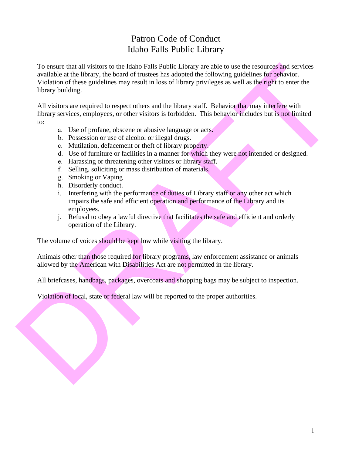## Patron Code of Conduct Idaho Falls Public Library

To ensure that all visions to the Ideab Calls Public Library are to be the results of the results and serial deviations are active serial deviations are activity the box of this standard and visions are required to respec To ensure that all visitors to the Idaho Falls Public Library are able to use the resources and services available at the library, the board of trustees has adopted the following guidelines for behavior. Violation of these guidelines may result in loss of library privileges as well as the right to enter the library building.

All visitors are required to respect others and the library staff. Behavior that may interfere with library services, employees, or other visitors is forbidden. This behavior includes but is not limited to:

- a. Use of profane, obscene or abusive language or acts.
- b. Possession or use of alcohol or illegal drugs.
- c. Mutilation, defacement or theft of library property.
- d. Use of furniture or facilities in a manner for which they were not intended or designed.
- e. Harassing or threatening other visitors or library staff.
- f. Selling, soliciting or mass distribution of materials.
- g. Smoking or Vaping
- h. Disorderly conduct.
- i. Interfering with the performance of duties of Library staff or any other act which impairs the safe and efficient operation and performance of the Library and its employees.
- j. Refusal to obey a lawful directive that facilitates the safe and efficient and orderly operation of the Library.

The volume of voices should be kept low while visiting the library.

Animals other than those required for library programs, law enforcement assistance or animals allowed by the American with Disabilities Act are not permitted in the library.

All briefcases, handbags, packages, overcoats and shopping bags may be subject to inspection.

Violation of local, state or federal law will be reported to the proper authorities.